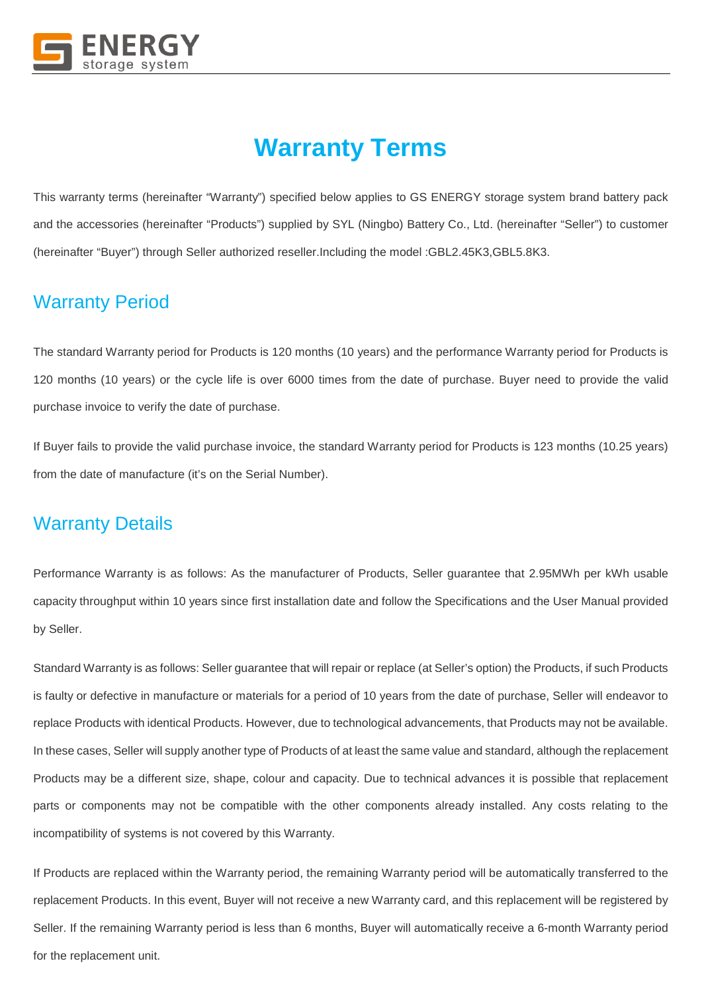

# **Warranty Terms**

This warranty terms (hereinafter "Warranty") specified below applies to GS ENERGY storage system brand battery pack and the accessories (hereinafter "Products") supplied by SYL (Ningbo) Battery Co., Ltd. (hereinafter "Seller") to customer (hereinafter "Buyer") through Seller authorized reseller.Including the model :GBL2.45K3,GBL5.8K3.

# Warranty Period

The standard Warranty period for Products is 120 months (10 years) and the performance Warranty period for Products is 120 months (10 years) or the cycle life is over 6000 times from the date of purchase. Buyer need to provide the valid purchase invoice to verify the date of purchase.

If Buyer fails to provide the valid purchase invoice, the standard Warranty period for Products is 123 months (10.25 years) from the date of manufacture (it's on the Serial Number).

### Warranty Details

Performance Warranty is as follows: As the manufacturer of Products, Seller guarantee that 2.95MWh per kWh usable capacity throughput within 10 years since first installation date and follow the Specifications and the User Manual provided by Seller.

Standard Warranty is as follows: Seller guarantee that will repair or replace (at Seller's option) the Products, if such Products is faulty or defective in manufacture or materials for a period of 10 years from the date of purchase, Seller will endeavor to replace Products with identical Products. However, due to technological advancements, that Products may not be available. In these cases, Seller will supply another type of Products of at least the same value and standard, although the replacement Products may be a different size, shape, colour and capacity. Due to technical advances it is possible that replacement parts or components may not be compatible with the other components already installed. Any costs relating to the incompatibility of systems is not covered by this Warranty.

If Products are replaced within the Warranty period, the remaining Warranty period will be automatically transferred to the replacement Products. In this event, Buyer will not receive a new Warranty card, and this replacement will be registered by Seller. If the remaining Warranty period is less than 6 months, Buyer will automatically receive a 6-month Warranty period for the replacement unit.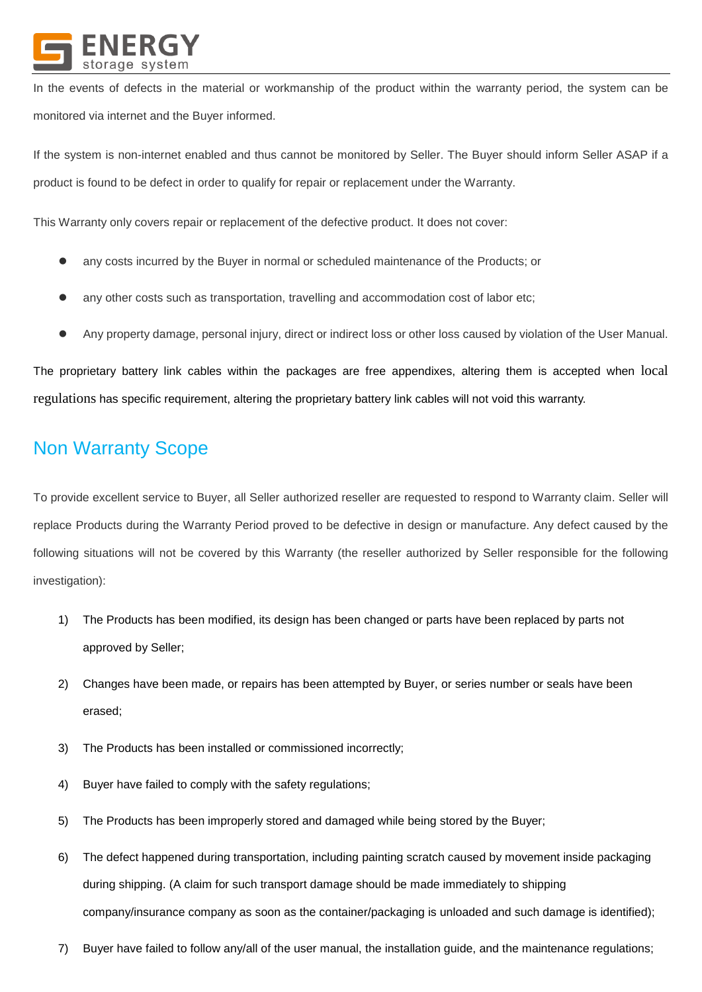

In the events of defects in the material or workmanship of the product within the warranty period, the system can be monitored via internet and the Buyer informed.

If the system is non-internet enabled and thus cannot be monitored by Seller. The Buyer should inform Seller ASAP if a product is found to be defect in order to qualify for repair or replacement under the Warranty.

This Warranty only covers repair or replacement of the defective product. It does not cover:

- any costs incurred by the Buyer in normal or scheduled maintenance of the Products; or
- any other costs such as transportation, travelling and accommodation cost of labor etc;
- Any property damage, personal injury, direct or indirect loss or other loss caused by violation of the User Manual.

The proprietary battery link cables within the packages are free appendixes, altering them is accepted when local regulations has specific requirement, altering the proprietary battery link cables will not void this warranty.

# Non Warranty Scope

To provide excellent service to Buyer, all Seller authorized reseller are requested to respond to Warranty claim. Seller will replace Products during the Warranty Period proved to be defective in design or manufacture. Any defect caused by the following situations will not be covered by this Warranty (the reseller authorized by Seller responsible for the following investigation):

- 1) The Products has been modified, its design has been changed or parts have been replaced by parts not approved by Seller;
- 2) Changes have been made, or repairs has been attempted by Buyer, or series number or seals have been erased;
- 3) The Products has been installed or commissioned incorrectly;
- 4) Buyer have failed to comply with the safety regulations;
- 5) The Products has been improperly stored and damaged while being stored by the Buyer;
- 6) The defect happened during transportation, including painting scratch caused by movement inside packaging during shipping. (A claim for such transport damage should be made immediately to shipping company/insurance company as soon as the container/packaging is unloaded and such damage is identified);
- 7) Buyer have failed to follow any/all of the user manual, the installation guide, and the maintenance regulations;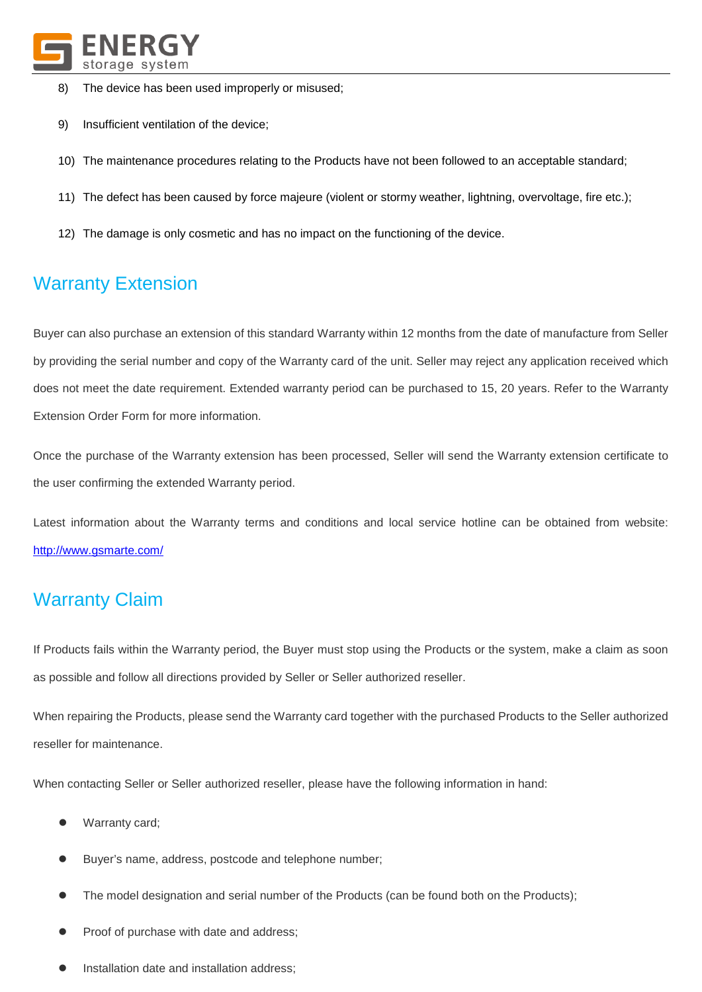

- 8) The device has been used improperly or misused;
- 9) Insufficient ventilation of the device;
- 10) The maintenance procedures relating to the Products have not been followed to an acceptable standard;
- 11) The defect has been caused by force majeure (violent or stormy weather, lightning, overvoltage, fire etc.);
- 12) The damage is only cosmetic and has no impact on the functioning of the device.

# Warranty Extension

Buyer can also purchase an extension of this standard Warranty within 12 months from the date of manufacture from Seller by providing the serial number and copy of the Warranty card of the unit. Seller may reject any application received which does not meet the date requirement. Extended warranty period can be purchased to 15, 20 years. Refer to the Warranty Extension Order Form for more information.

Once the purchase of the Warranty extension has been processed, Seller will send the Warranty extension certificate to the user confirming the extended Warranty period.

Latest information about the Warranty terms and conditions and local service hotline can be obtained from website: <http://www.gsmarte.com/>

# Warranty Claim

If Products fails within the Warranty period, the Buyer must stop using the Products or the system, make a claim as soon as possible and follow all directions provided by Seller or Seller authorized reseller.

When repairing the Products, please send the Warranty card together with the purchased Products to the Seller authorized reseller for maintenance.

When contacting Seller or Seller authorized reseller, please have the following information in hand:

- Warranty card;
- Buyer's name, address, postcode and telephone number;
- The model designation and serial number of the Products (can be found both on the Products);
- Proof of purchase with date and address;
- Installation date and installation address;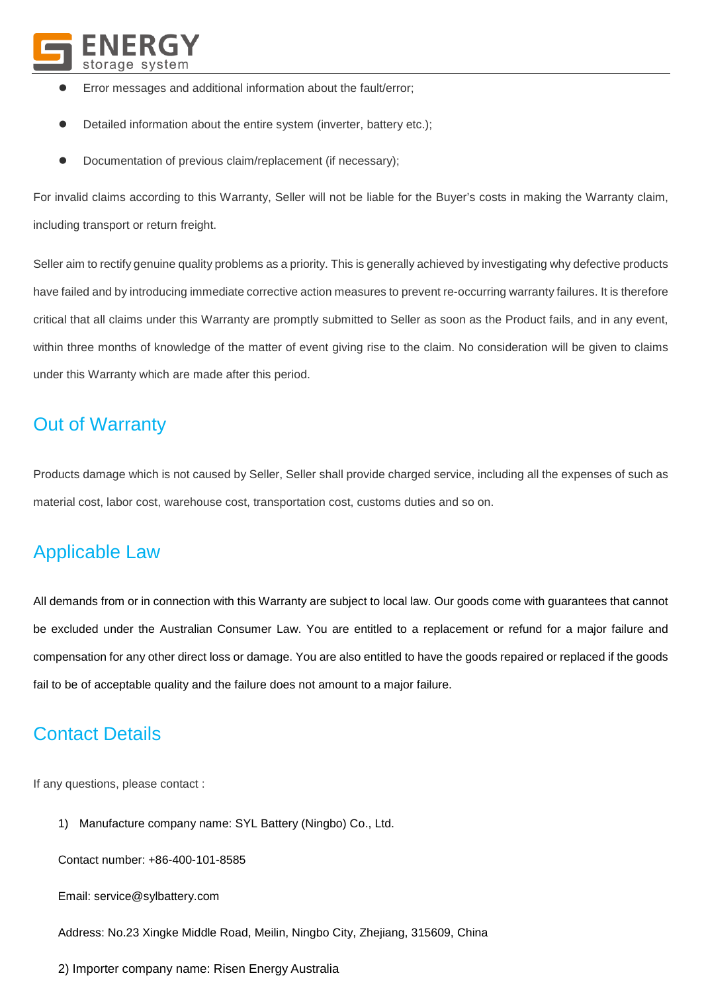

- Error messages and additional information about the fault/error;
- Detailed information about the entire system (inverter, battery etc.);
- Documentation of previous claim/replacement (if necessary);

For invalid claims according to this Warranty, Seller will not be liable for the Buyer's costs in making the Warranty claim, including transport or return freight.

Seller aim to rectify genuine quality problems as a priority. This is generally achieved by investigating why defective products have failed and by introducing immediate corrective action measures to prevent re-occurring warranty failures. It is therefore critical that all claims under this Warranty are promptly submitted to Seller as soon as the Product fails, and in any event, within three months of knowledge of the matter of event giving rise to the claim. No consideration will be given to claims under this Warranty which are made after this period.

#### Out of Warranty

Products damage which is not caused by Seller, Seller shall provide charged service, including all the expenses of such as material cost, labor cost, warehouse cost, transportation cost, customs duties and so on.

### Applicable Law

All demands from or in connection with this Warranty are subject to local law. Our goods come with guarantees that cannot be excluded under the Australian Consumer Law. You are entitled to a replacement or refund for a major failure and compensation for any other direct loss or damage. You are also entitled to have the goods repaired or replaced if the goods fail to be of acceptable quality and the failure does not amount to a major failure.

#### Contact Details

If any questions, please contact :

1) Manufacture company name: SYL Battery (Ningbo) Co., Ltd.

Contact number: +86-400-101-8585

Email: [service@sylbattery.com](mailto:service@sylbattery.com)

Address: No.23 Xingke Middle Road, Meilin, Ningbo City, Zhejiang, 315609, China

2) Importer company name: Risen Energy Australia